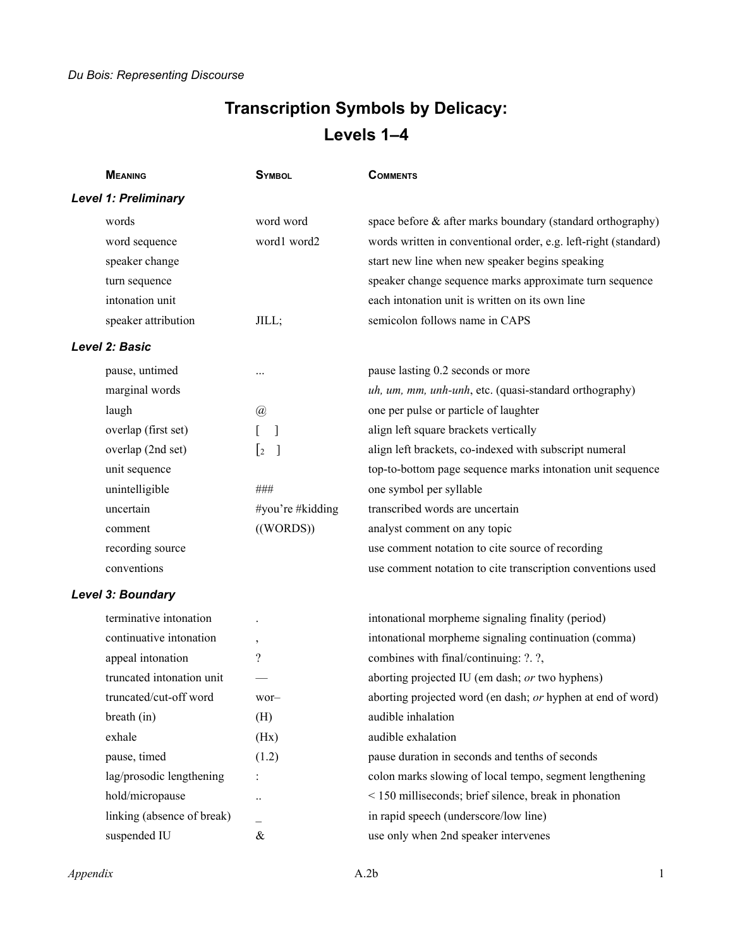## **Transcription Symbols by Delicacy: Levels 1–4**

| <b>MEANING</b>              | <b>SYMBOL</b>                 | <b>COMMENTS</b>                                                 |
|-----------------------------|-------------------------------|-----------------------------------------------------------------|
| <b>Level 1: Preliminary</b> |                               |                                                                 |
| words                       | word word                     | space before & after marks boundary (standard orthography)      |
| word sequence               | word1 word2                   | words written in conventional order, e.g. left-right (standard) |
| speaker change              |                               | start new line when new speaker begins speaking                 |
| turn sequence               |                               | speaker change sequence marks approximate turn sequence         |
| intonation unit             |                               | each intonation unit is written on its own line                 |
| speaker attribution         | JILL;                         | semicolon follows name in CAPS                                  |
| <b>Level 2: Basic</b>       |                               |                                                                 |
| pause, untimed              |                               | pause lasting 0.2 seconds or more                               |
| marginal words              |                               | uh, um, mm, unh-unh, etc. (quasi-standard orthography)          |
| laugh                       | $\mathcal{D}_{\mathcal{A}}$   | one per pulse or particle of laughter                           |
| overlap (first set)         | 1                             | align left square brackets vertically                           |
| overlap (2nd set)           | $\lfloor 2 \rfloor$<br>$\Box$ | align left brackets, co-indexed with subscript numeral          |
| unit sequence               |                               | top-to-bottom page sequence marks intonation unit sequence      |
| unintelligible              | ###                           | one symbol per syllable                                         |
| uncertain                   | #you're #kidding              | transcribed words are uncertain                                 |
| comment                     | ((WORDS))                     | analyst comment on any topic                                    |
| recording source            |                               | use comment notation to cite source of recording                |
| conventions                 |                               | use comment notation to cite transcription conventions used     |
| Level 3: Boundary           |                               |                                                                 |
| terminative intonation      |                               | intonational morpheme signaling finality (period)               |
| continuative intonation     | $\,$                          | intonational morpheme signaling continuation (comma)            |
| appeal intonation           | $\overline{\mathcal{C}}$      | combines with final/continuing: ?. ?,                           |
| truncated intonation unit   |                               | aborting projected IU (em dash; or two hyphens)                 |
| truncated/cut-off word      | wor-                          | aborting projected word (en dash; or hyphen at end of word)     |
| breath (in)                 | (H)                           | audible inhalation                                              |
| exhale                      | (Hx)                          | audible exhalation                                              |
| pause, timed                | (1.2)                         | pause duration in seconds and tenths of seconds                 |
| lag/prosodic lengthening    |                               | colon marks slowing of local tempo, segment lengthening         |
| hold/micropause             | $\ddot{\phantom{0}}$          | < 150 milliseconds; brief silence, break in phonation           |
| linking (absence of break)  |                               | in rapid speech (underscore/low line)                           |
| suspended IU                | $\&$                          | use only when 2nd speaker intervenes                            |